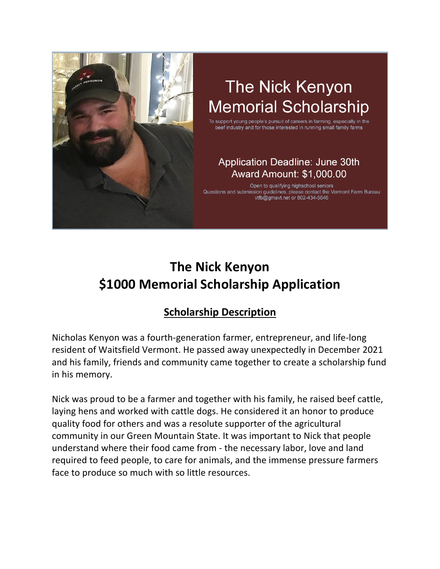

# The Nick Kenyon **Memorial Scholarship**

To support young people's pursuit of careers in farming, especially in the beef industry and for those interested in running small family farms

#### **Application Deadline: June 30th** Award Amount: \$1,000.00

Open to qualifying highschool seniors Questions and submission guidelines, please contact the Vermont Farm Bureau vtfb@gmavt.net or 802-434-5646

## **The Nick Kenyon \$1000 Memorial Scholarship Application**

### **Scholarship Description**

Nicholas Kenyon was a fourth-generation farmer, entrepreneur, and life-long resident of Waitsfield Vermont. He passed away unexpectedly in December 2021 and his family, friends and community came together to create a scholarship fund in his memory.

Nick was proud to be a farmer and together with his family, he raised beef cattle, laying hens and worked with cattle dogs. He considered it an honor to produce quality food for others and was a resolute supporter of the agricultural community in our Green Mountain State. It was important to Nick that people understand where their food came from - the necessary labor, love and land required to feed people, to care for animals, and the immense pressure farmers face to produce so much with so little resources.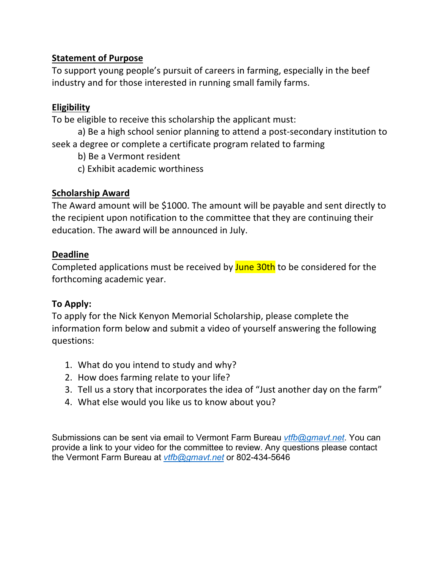#### **Statement of Purpose**

To support young people's pursuit of careers in farming, especially in the beef industry and for those interested in running small family farms.

#### **Eligibility**

To be eligible to receive this scholarship the applicant must:

a) Be a high school senior planning to attend a post-secondary institution to seek a degree or complete a certificate program related to farming

b) Be a Vermont resident

c) Exhibit academic worthiness

#### **Scholarship Award**

The Award amount will be \$1000. The amount will be payable and sent directly to the recipient upon notification to the committee that they are continuing their education. The award will be announced in July.

#### **Deadline**

Completed applications must be received by June 30th to be considered for the forthcoming academic year.

#### **To Apply:**

To apply for the Nick Kenyon Memorial Scholarship, please complete the information form below and submit a video of yourself answering the following questions:

- 1. What do you intend to study and why?
- 2. How does farming relate to your life?
- 3. Tell us a story that incorporates the idea of "Just another day on the farm"
- 4. What else would you like us to know about you?

Submissions can be sent via email to Vermont Farm Bureau *vtfb@gmavt.net*. You can provide a link to your video for the committee to review. Any questions please contact the Vermont Farm Bureau at *vtfb@gmavt.net* or 802-434-5646